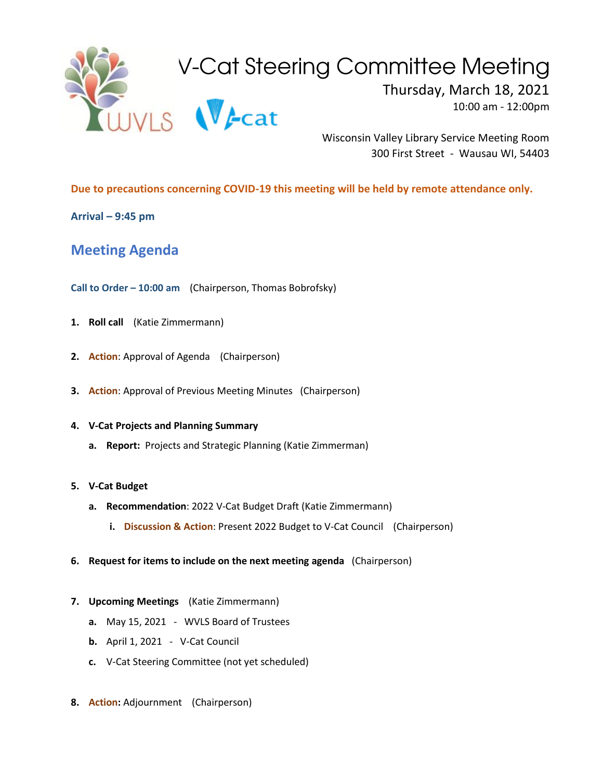

Wisconsin Valley Library Service Meeting Room 300 First Street - Wausau WI, 54403

**Due to precautions concerning COVID-19 this meeting will be held by remote attendance only.**

**Arrival – 9:45 pm**

**Meeting Agenda**

**Call to Order – 10:00 am** (Chairperson, Thomas Bobrofsky)

- **1. Roll call** (Katie Zimmermann)
- **2. Action**: Approval of Agenda (Chairperson)
- **3. Action**: Approval of Previous Meeting Minutes (Chairperson)

## **4. V-Cat Projects and Planning Summary**

**a. Report:** Projects and Strategic Planning (Katie Zimmerman)

## **5. V-Cat Budget**

- **a. Recommendation**: 2022 V-Cat Budget Draft (Katie Zimmermann)
	- **i. Discussion & Action**: Present 2022 Budget to V-Cat Council (Chairperson)
- **6. Request for items to include on the next meeting agenda** (Chairperson)
- **7. Upcoming Meetings** (Katie Zimmermann)
	- **a.** May 15, 2021 WVLS Board of Trustees
	- **b.** April 1, 2021 V-Cat Council
	- **c.** V-Cat Steering Committee (not yet scheduled)
- **8. Action:** Adjournment (Chairperson)